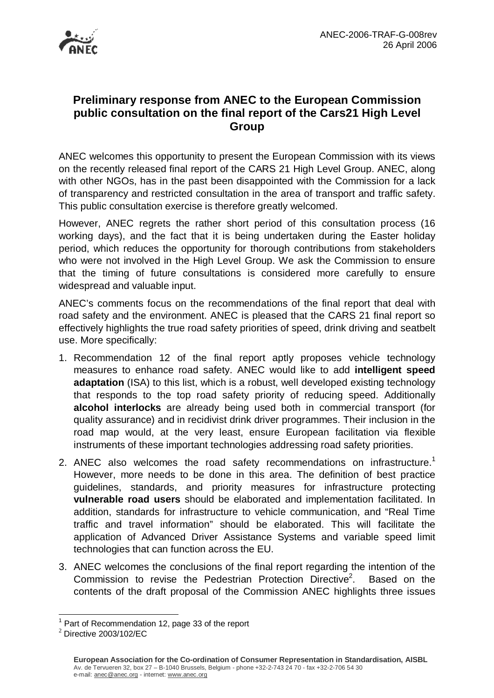

## **Preliminary response from ANEC to the European Commission public consultation on the final report of the Cars21 High Level Group**

ANEC welcomes this opportunity to present the European Commission with its views on the recently released final report of the CARS 21 High Level Group. ANEC, along with other NGOs, has in the past been disappointed with the Commission for a lack of transparency and restricted consultation in the area of transport and traffic safety. This public consultation exercise is therefore greatly welcomed.

However, ANEC regrets the rather short period of this consultation process (16 working days), and the fact that it is being undertaken during the Easter holiday period, which reduces the opportunity for thorough contributions from stakeholders who were not involved in the High Level Group. We ask the Commission to ensure that the timing of future consultations is considered more carefully to ensure widespread and valuable input.

ANEC's comments focus on the recommendations of the final report that deal with road safety and the environment. ANEC is pleased that the CARS 21 final report so effectively highlights the true road safety priorities of speed, drink driving and seatbelt use. More specifically:

- 1. Recommendation 12 of the final report aptly proposes vehicle technology measures to enhance road safety. ANEC would like to add **intelligent speed adaptation** (ISA) to this list, which is a robust, well developed existing technology that responds to the top road safety priority of reducing speed. Additionally **alcohol interlocks** are already being used both in commercial transport (for quality assurance) and in recidivist drink driver programmes. Their inclusion in the road map would, at the very least, ensure European facilitation via flexible instruments of these important technologies addressing road safety priorities.
- 2. ANEC also welcomes the road safety recommendations on infrastructure.<sup>1</sup> However, more needs to be done in this area. The definition of best practice guidelines, standards, and priority measures for infrastructure protecting **vulnerable road users** should be elaborated and implementation facilitated. In addition, standards for infrastructure to vehicle communication, and "Real Time traffic and travel information" should be elaborated. This will facilitate the application of Advanced Driver Assistance Systems and variable speed limit technologies that can function across the EU.
- 3. ANEC welcomes the conclusions of the final report regarding the intention of the Commission to revise the Pedestrian Protection Directive<sup>2</sup>. . Based on the contents of the draft proposal of the Commission ANEC highlights three issues

 $\overline{a}$ 

 $1$  Part of Recommendation 12, page 33 of the report

<sup>2</sup> Directive 2003/102/EC